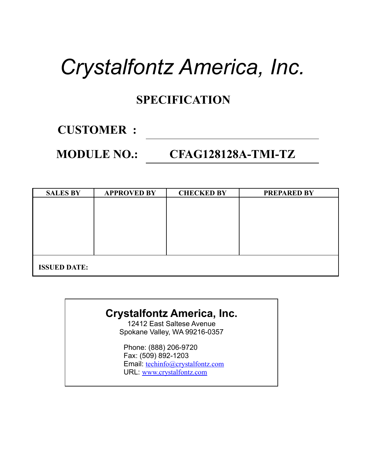# *Crystalfontz America, Inc.*

#### **SPECIFICATION**

### **CUSTOMER :**

#### **MODULE NO.: CFAG128128A-TMI-TZ**

| <b>SALES BY</b>     | <b>APPROVED BY</b> | <b>CHECKED BY</b> | <b>PREPARED BY</b> |
|---------------------|--------------------|-------------------|--------------------|
|                     |                    |                   |                    |
|                     |                    |                   |                    |
|                     |                    |                   |                    |
|                     |                    |                   |                    |
|                     |                    |                   |                    |
|                     |                    |                   |                    |
| <b>ISSUED DATE:</b> |                    |                   |                    |

#### **Crystalfontz America, Inc.**

12412 East Saltese Avenue Spokane Valley, WA 99216-0357

Phone: (888) 206-9720 Fax: (509) 892-1203 Email: [techinfo@crystalfontz.com](mailto:techinfo@crystalfontz.com) URL: [www.crystalfontz.com](http://www.crystalfontz.com/)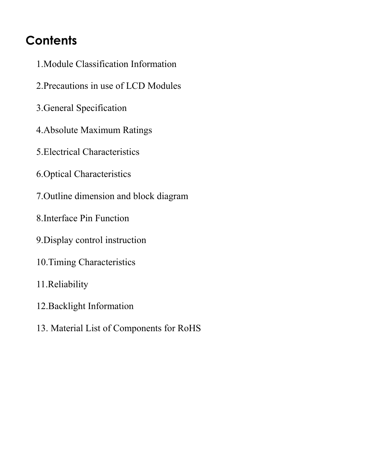### **Contents**

- 1.Module Classification Information
- 2.Precautions in use of LCD Modules
- 3.General Specification
- 4.Absolute Maximum Ratings
- 5.Electrical Characteristics
- 6.Optical Characteristics
- 7.Outline dimension and block diagram
- 8.Interface Pin Function
- 9.Display control instruction
- 10.Timing Characteristics
- 11.Reliability
- 12.Backlight Information
- 13. Material List of Components for RoHS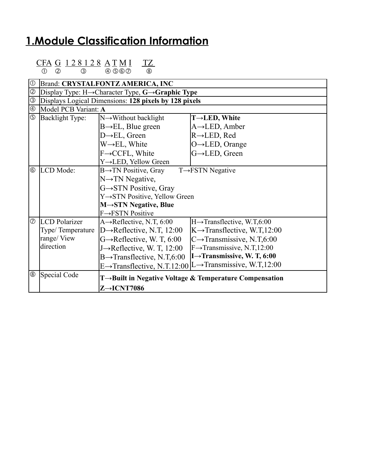#### **1.Module Classification Information**

|              | CFA G 128128 ATMI<br>TZ<br>$(4)$ (5) (6) (7)<br>(8)<br>(2)<br>(3)         |  |
|--------------|---------------------------------------------------------------------------|--|
| $^\circledR$ | Brand: CRYSTALFONTZ AMERICA, INC                                          |  |
|              | <i>©</i>  Display Type: H→Character Type, <b>G→Graphic Type</b>           |  |
|              | <b>3</b> Displays Logical Dimensions: 128 pixels by 128 pixels            |  |
|              | 4 Model PCB Variant: A                                                    |  |
| $\bigcap$    | $NT = 337' \cdot 1 = 11' \cdot 11'$<br>$\overline{D}$ 11.1 $\overline{T}$ |  |

|                         | prispiays logical Difficiisions. 120 praeis by 120 praeis |                                         |                                                                                   |  |  |
|-------------------------|-----------------------------------------------------------|-----------------------------------------|-----------------------------------------------------------------------------------|--|--|
| O                       | Model PCB Variant: A                                      |                                         |                                                                                   |  |  |
| $\overline{\mathbb{G}}$ | Backlight Type:                                           | $N \rightarrow W$ ithout backlight      | $T\rightarrow$ LED, White                                                         |  |  |
|                         |                                                           | $B \rightarrow EL$ , Blue green         | $A \rightarrow$ LED, Amber                                                        |  |  |
|                         |                                                           | $D\rightarrow EL$ , Green               | $R \rightarrow$ LED, Red                                                          |  |  |
|                         |                                                           | $W \rightarrow EL$ , White              | $O \rightarrow$ LED, Orange                                                       |  |  |
|                         |                                                           | $F \rightarrow CCFL$ , White            | G→LED, Green                                                                      |  |  |
|                         |                                                           | Y→LED, Yellow Green                     |                                                                                   |  |  |
| $\circledcirc$          | LCD Mode:                                                 | $B \rightarrow TN$ Positive, Gray       | $T \rightarrow FSTN$ Negative                                                     |  |  |
|                         |                                                           | $N \rightarrow TN$ Negative,            |                                                                                   |  |  |
|                         |                                                           | $G \rightarrow STN$ Positive, Gray      |                                                                                   |  |  |
|                         |                                                           | Y→STN Positive, Yellow Green            |                                                                                   |  |  |
|                         |                                                           | $M \rightarrow STN$ Negative, Blue      |                                                                                   |  |  |
|                         |                                                           | $F \rightarrow FSTN$ Positive           |                                                                                   |  |  |
| $  \oslash$             | <b>LCD</b> Polarizer                                      | A $\rightarrow$ Reflective, N.T, 6:00   | $H \rightarrow$ Transflective, W.T,6:00                                           |  |  |
|                         | Type/Temperature                                          | D $\rightarrow$ Reflective, N.T, 12:00  | $K \rightarrow$ Transflective, W.T.12:00                                          |  |  |
|                         | range/View                                                | $G \rightarrow$ Reflective, W. T, 6:00  | $C \rightarrow$ Transmissive, N.T,6:00                                            |  |  |
|                         | direction                                                 | J $\rightarrow$ Reflective, W. T, 12:00 | $F \rightarrow$ Transmissive, N.T,12:00                                           |  |  |
|                         |                                                           | $B\rightarrow$ Transflective, N.T,6:00  | $I \rightarrow$ Transmissive, W. T, 6:00                                          |  |  |
|                         |                                                           |                                         | E $\rightarrow$ Transflective, N.T.12:00  L $\rightarrow$ Transmissive, W.T.12:00 |  |  |
| $^\circledR$            | Special Code                                              |                                         | T $\rightarrow$ Built in Negative Voltage & Temperature Compensation              |  |  |
|                         |                                                           | $Z \rightarrow$ ICNT7086                |                                                                                   |  |  |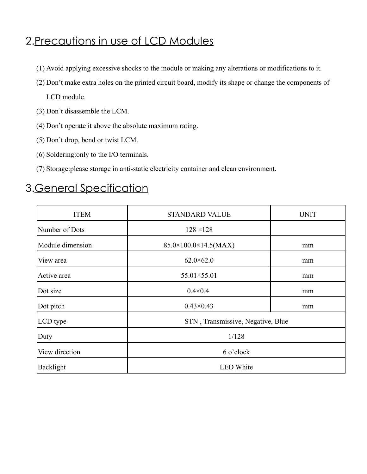### 2.Precautions in use of LCD Modules

- (1) Avoid applying excessive shocks to the module or making any alterations or modifications to it.
- (2) Don't make extra holes on the printed circuit board, modify its shape or change the components of LCD module.
- (3) Don't disassemble the LCM.
- (4) Don't operate it above the absolute maximum rating.
- (5) Don't drop, bend or twist LCM.
- (6) Soldering:only to the I/O terminals.
- (7) Storage:please storage in anti-static electricity container and clean environment.

### 3.General Specification

| <b>ITEM</b>      | <b>STANDARD VALUE</b>             | <b>UNIT</b> |  |
|------------------|-----------------------------------|-------------|--|
| Number of Dots   | $128 \times 128$                  |             |  |
| Module dimension | $85.0\times100.0\times14.5(MAX)$  | mm          |  |
| View area        | $62.0\times 62.0$                 | mm          |  |
| Active area      | 55.01×55.01                       | mm          |  |
| Dot size         | $0.4 \times 0.4$                  | mm          |  |
| Dot pitch        | $0.43 \times 0.43$                | mm          |  |
| LCD type         | STN, Transmissive, Negative, Blue |             |  |
| Duty             | 1/128                             |             |  |
| View direction   | 6 o'clock                         |             |  |
| Backlight        | <b>LED</b> White                  |             |  |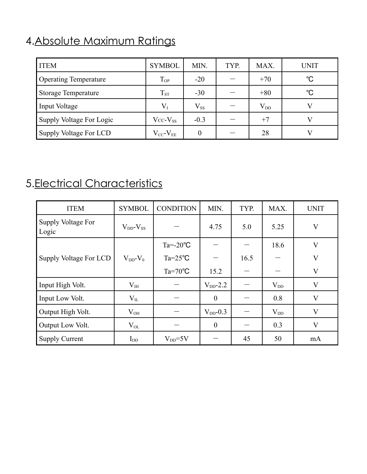### 4.Absolute Maximum Ratings

| <b>ITEM</b>                  | <b>SYMBOL</b>       | MIN.     | TYP. | MAX.     | <b>UNIT</b>  |
|------------------------------|---------------------|----------|------|----------|--------------|
| <b>Operating Temperature</b> | $T_{OP}$            | $-20$    |      | $+70$    | $^{\circ}C$  |
| <b>Storage Temperature</b>   | $T_{ST}$            | $-30$    |      | $+80$    | $^{\circ}$ C |
| Input Voltage                | $\rm V_I$           | $V_{SS}$ |      | $V_{DD}$ |              |
| Supply Voltage For Logic     | $Vcc-V_{SS}$        | $-0.3$   |      | $+7$     |              |
| Supply Voltage For LCD       | $V_{CC}$ - $V_{EE}$ |          |      | 28       |              |

### 5.Electrical Characteristics

| <b>ITEM</b>                 | <b>SYMBOL</b>       | <b>CONDITION</b>   | MIN.             | TYP. | MAX.     | <b>UNIT</b> |
|-----------------------------|---------------------|--------------------|------------------|------|----------|-------------|
| Supply Voltage For<br>Logic | $V_{DD}$ - $V_{SS}$ |                    | 4.75             | 5.0  | 5.25     | V           |
|                             |                     | $Ta = -20$ °C      |                  |      | 18.6     | V           |
| Supply Voltage For LCD      | $V_{DD}$ - $V_0$    | $Ta = 25^{\circ}C$ |                  | 16.5 |          | $\bf V$     |
|                             |                     | $Ta=70^{\circ}C$   | 15.2             |      |          | $\bf V$     |
| Input High Volt.            | $V_{\rm IH}$        |                    | $V_{DD}$ -2.2    |      | $V_{DD}$ | $\bf V$     |
| Input Low Volt.             | $V_{IL}$            |                    | $\boldsymbol{0}$ |      | 0.8      | V           |
| Output High Volt.           | $\rm V_{OH}$        |                    | $V_{DD}$ -0.3    |      | $V_{DD}$ | V           |
| Output Low Volt.            | $V_{OL}$            |                    | $\theta$         |      | 0.3      | $\bf V$     |
| <b>Supply Current</b>       | ${\rm I_{DD}}$      | $V_{DD} = 5V$      |                  | 45   | 50       | mA          |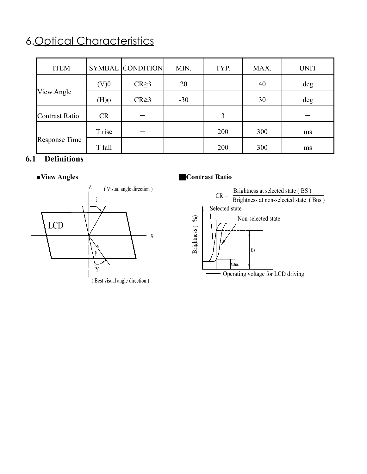### 6.Optical Characteristics

| <b>ITEM</b>    |             | SYMBAL CONDITION | MIN.  | TYP. | MAX. | <b>UNIT</b> |
|----------------|-------------|------------------|-------|------|------|-------------|
|                | $(V)\theta$ | $CR \geq 3$      | 20    |      | 40   | deg         |
| View Angle     | $\phi(H)$   | $CR \geq 3$      | $-30$ |      | 30   | deg         |
| Contrast Ratio | <b>CR</b>   |                  |       | 3    |      |             |
|                | T rise      |                  |       | 200  | 300  | ms          |
| Response Time  | T fall      |                  |       | 200  | 300  | ms          |

#### **6.1 Definitions**



#### **■View Angles** ■**Contrast Ratio**

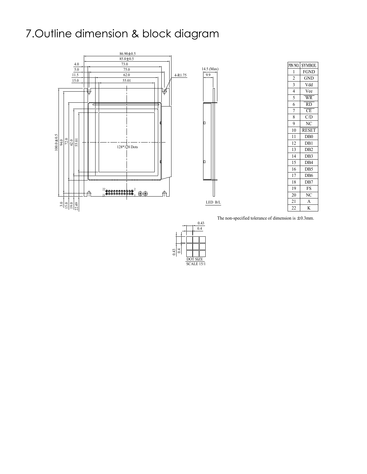### 7.Outline dimension & block diagram



|    | PIN NO.  SYMBOL        |
|----|------------------------|
| 1  | <b>FGND</b>            |
| 2  | GND                    |
| 3  | Vdd                    |
| 4  | Vee                    |
| 5  | $\overline{\text{WR}}$ |
| 6  | $\overline{RD}$        |
| 7  | $\overline{\text{CE}}$ |
| 8  | C/D                    |
| 9  | NC                     |
| 10 | <b>RESET</b>           |
| 11 | D <sub>B</sub> 0       |
| 12 | DB1                    |
| 13 | D <sub>B2</sub>        |
| 14 | DB <sub>3</sub>        |
| 15 | DB4                    |
| 16 | DB5                    |
| 17 | DB <sub>6</sub>        |
| 18 | DB7                    |
| 19 | <b>FS</b>              |
| 20 | NC                     |
| 21 | А                      |
| 22 | K                      |

The non-specified tolerance of dimension is  $\pm 0.3$ mm.

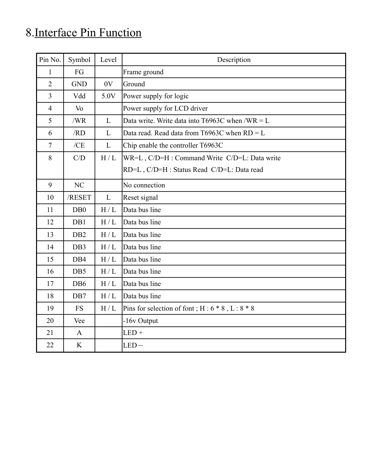## 8.Interface Pin Function

| Pin No.        | Symbol           | Level             | Description                                         |
|----------------|------------------|-------------------|-----------------------------------------------------|
| $\mathbf{1}$   | FG               |                   | Frame ground                                        |
| $\overline{2}$ | <b>GND</b>       | 0V                | Ground                                              |
| $\overline{3}$ | Vdd              | 5.0V              | Power supply for logic                              |
| $\overline{4}$ | V <sub>o</sub>   |                   | Power supply for LCD driver                         |
| 5              | /WR              | $\mathbf{L}$      | Data write. Write data into T6963C when /WR = $L$   |
| 6              | /RD              | L                 | Data read. Read data from T6963C when $RD = L$      |
| $\overline{7}$ | /CE              | $\mathbf{L}$      | Chip enable the controller T6963C                   |
| $8\,$          | C/D              | H/L               | WR=L, C/D=H : Command Write C/D=L: Data write       |
|                |                  |                   | RD=L, C/D=H : Status Read C/D=L: Data read          |
| 9              | NC               |                   | No connection                                       |
| 10             | /RESET           | L                 | Reset signal                                        |
| 11             | D <sub>B</sub> 0 | H/L               | Data bus line                                       |
| 12             | DB1              | H/L               | Data bus line                                       |
| 13             | D <sub>B2</sub>  | H/L               | Data bus line                                       |
| 14             | DB3              | H/L               | Data bus line                                       |
| 15             | DB4              | H/L               | Data bus line                                       |
| 16             | DB5              | H/L               | Data bus line                                       |
| 17             | DB <sub>6</sub>  | H/L               | Data bus line                                       |
| 18             | DB7              | H/L               | Data bus line                                       |
| 19             | <b>FS</b>        | $\rm H$ / $\rm L$ | Pins for selection of font; $H: 6 * 8$ , $L: 8 * 8$ |
| 20             | Vee              |                   | -16v Output                                         |
| 21             | $\mathbf{A}$     |                   | $LED +$                                             |
| 22             | K                |                   | $LED-$                                              |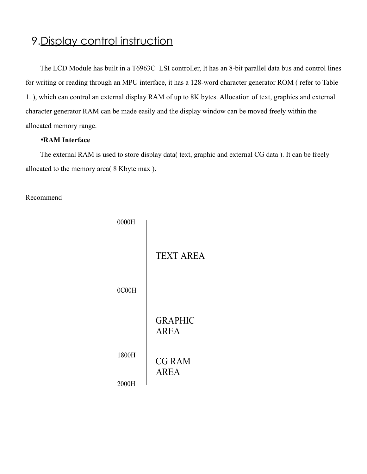#### 9.Display control instruction

The LCD Module has built in a T6963C LSI controller, It has an 8-bit parallel data bus and control lines for writing or reading through an MPU interface, it has a 128-word character generator ROM ( refer to Table 1. ), which can control an external display RAM of up to 8K bytes. Allocation of text, graphics and external character generator RAM can be made easily and the display window can be moved freely within the allocated memory range.

#### •**RAM Interface**

The external RAM is used to store display data( text, graphic and external CG data ). It can be freely allocated to the memory area( 8 Kbyte max ).

Recommend

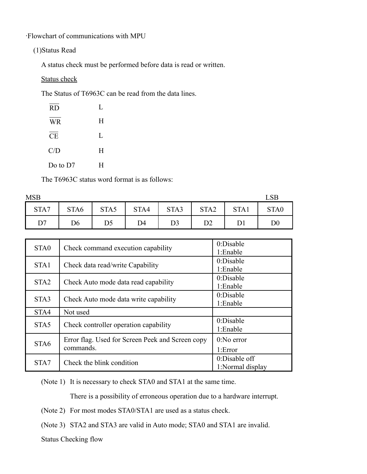‧Flowchart of communications with MPU

(1)Status Read

A status check must be performed before data is read or written.

#### Status check

The Status of T6963C can be read from the data lines.

| <b>RD</b>  | L |
|------------|---|
| <b>WR</b>  | Н |
| <b>CE</b>  | L |
| C/D        | Н |
| Do to $D7$ | H |

The T6963C status word format is as follows:

| <b>MSB</b> |                  |                |      |      |                  |      | LSB              |
|------------|------------------|----------------|------|------|------------------|------|------------------|
| STA7       | STA <sub>6</sub> | STA5           | STA4 | STA3 | STA <sub>2</sub> | STA1 | STA <sub>0</sub> |
| D7         | D6               | D <sub>5</sub> | D4   | D3   | D2               |      | $\rm D0$         |

| STA <sub>0</sub> | Check command execution capability                            | $0$ :Disable<br>1:Enable          |
|------------------|---------------------------------------------------------------|-----------------------------------|
| STA1             | Check data read/write Capability                              | 0:Disable                         |
| STA <sub>2</sub> | Check Auto mode data read capability                          | 1:Enable<br>0:Disable             |
|                  |                                                               | 1:Enable<br>0:Disable             |
| STA3             | Check Auto mode data write capability                         | 1:Enable                          |
| STA4             | Not used                                                      |                                   |
| STA5             | Check controller operation capability                         | 0:Disable<br>1:Enable             |
| STA <sub>6</sub> | Error flag. Used for Screen Peek and Screen copy<br>commands. | $0:N0$ error                      |
|                  |                                                               | 1:Error                           |
| STA7             | Check the blink condition                                     | 0:Disable off<br>1:Normal display |

(Note 1) It is necessary to check STA0 and STA1 at the same time.

There is a possibility of erroneous operation due to a hardware interrupt.

- (Note 2) For most modes STA0/STA1 are used as a status check.
- (Note 3) STA2 and STA3 are valid in Auto mode; STA0 and STA1 are invalid.

Status Checking flow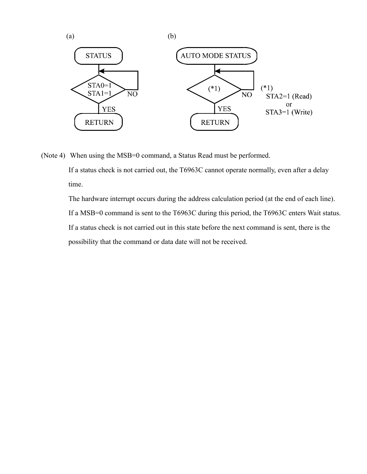

(Note 4) When using the MSB=0 command, a Status Read must be performed.

If a status check is not carried out, the T6963C cannot operate normally, even after a delay time.

The hardware interrupt occurs during the address calculation period (at the end of each line). If a MSB=0 command is sent to the T6963C during this period, the T6963C enters Wait status. If a status check is not carried out in this state before the next command is sent, there is the possibility that the command or data date will not be received.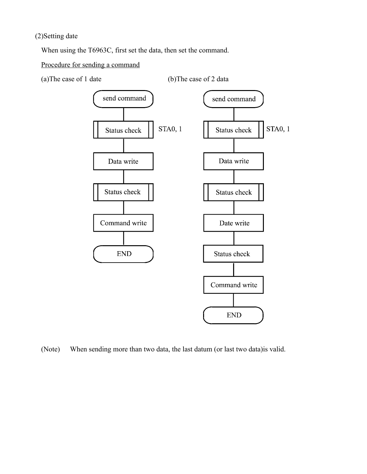#### (2)Setting date

When using the T6963C, first set the data, then set the command.

Procedure for sending a command

(a) The case of 1 date  $(b)$  The case of 2 data



(Note) When sending more than two data, the last datum (or last two data)is valid.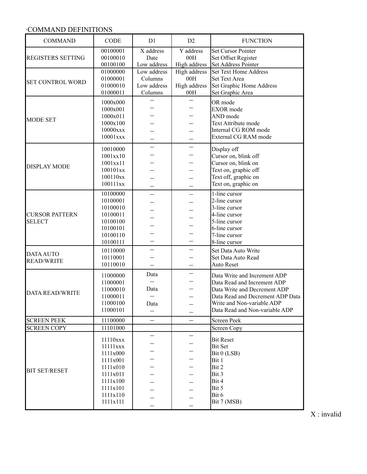#### ‧COMMAND DEFINITIONS

| <b>COMMAND</b>           | CODE                 | D1                       | D2                       | <b>FUNCTION</b>                                  |
|--------------------------|----------------------|--------------------------|--------------------------|--------------------------------------------------|
| <b>REGISTERS SETTING</b> | 00100001<br>00100010 | X address<br>Date        | Y address<br>00H         | <b>Set Cursor Pointer</b><br>Set Offset Register |
|                          | 00100100             | Low address              | High address             | Set Address Pointer                              |
|                          | 01000000             | Low address              | High address             | Set Text Home Address                            |
|                          | 01000001             | Columns                  | 00H                      | Set Text Area                                    |
| <b>SET CONTROL WORD</b>  | 01000010             | Low address              | High address             | Set Graphic Home Address                         |
|                          | 01000011             | Columns                  | 00H                      | Set Graphic Area                                 |
|                          | 1000x000             |                          |                          | OR mode                                          |
|                          | 1000x001             |                          |                          | EXOR mode                                        |
|                          | 1000x011             |                          |                          | AND mode                                         |
| <b>MODE SET</b>          | 1000x100             |                          |                          | Text Attribute mode                              |
|                          | 10000xxx             |                          |                          | Internal CG ROM mode                             |
|                          | $10001$ xxx          |                          |                          | External CG RAM mode                             |
|                          | 10010000             |                          |                          | Display off                                      |
|                          | 1001xx10             |                          |                          | Cursor on, blink off                             |
|                          | 1001xx11             |                          |                          | Cursor on, blink on                              |
| <b>DISPLAY MODE</b>      | 100101xx             |                          |                          | Text on, graphic off                             |
|                          | 100110xx             |                          |                          | Text off, graphic on                             |
|                          | 100111xx             |                          |                          | Text on, graphic on                              |
|                          | 10100000             |                          |                          | 1-line cursor                                    |
|                          | 10100001             |                          |                          | 2-line cursor                                    |
|                          | 10100010             |                          |                          | 3-line cursor                                    |
| <b>CURSOR PATTERN</b>    | 10100011             |                          |                          | 4-line cursor                                    |
| <b>SELECT</b>            | 10100100             |                          |                          | 5-line cursor                                    |
|                          | 10100101             |                          |                          | 6-line cursor                                    |
|                          | 10100110             |                          |                          | 7-line cursor                                    |
|                          | 10100111             |                          |                          | 8-line cursor                                    |
| <b>DATA AUTO</b>         | 10110000             |                          |                          | Set Data Auto Write                              |
| <b>READ/WRITE</b>        | 10110001             |                          |                          | Set Data Auto Read                               |
|                          | 10110010             |                          |                          | <b>Auto Reset</b>                                |
|                          | 11000000             | Data                     | $\overline{\phantom{0}}$ | Data Write and Increment ADP                     |
|                          | 11000001             |                          |                          | Data Read and Increment ADP                      |
| <b>DATA READ/WRITE</b>   | 11000010             | Data                     |                          | Data Write and Decrement ADP                     |
|                          | 11000011             | $\overline{\phantom{0}}$ |                          | Data Read and Decrement ADP Data                 |
|                          | 11000100             | Data                     |                          | Write and Non-variable ADP                       |
|                          | 11000101             | $\overline{\phantom{0}}$ |                          | Data Read and Non-variable ADP                   |
| <b>SCREEN PEEK</b>       | 11100000             |                          |                          | Screen Peek                                      |
| <b>SCREEN COPY</b>       | 11101000             |                          |                          | Screen Copy                                      |
|                          | 11110xxx             |                          |                          | <b>Bit Reset</b>                                 |
|                          | 11111xxx             |                          |                          | Bit Set                                          |
|                          | 1111x000             |                          |                          | Bit 0 (LSB)                                      |
|                          | 1111x001             |                          |                          | Bit 1                                            |
|                          | 1111x010             |                          |                          | Bit 2                                            |
| <b>BIT SET/RESET</b>     | 1111x011             |                          |                          | Bit 3                                            |
|                          | 1111x100             |                          |                          | Bit 4                                            |
|                          | 1111x101             |                          |                          | Bit 5                                            |
|                          | 1111x110             |                          |                          | Bit 6                                            |
|                          | 1111x111             |                          |                          | Bit 7 (MSB)                                      |
|                          |                      |                          |                          |                                                  |

X : invalid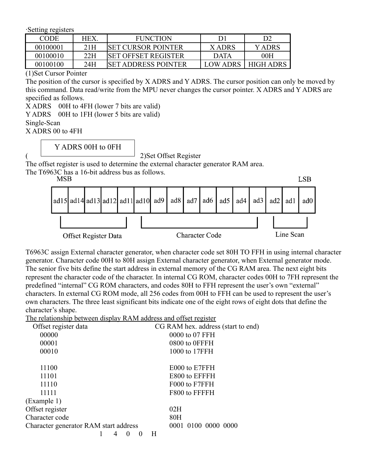‧Setting registers

| CODE     | HEX | <b>FUNCTION</b>             |                 |                  |
|----------|-----|-----------------------------|-----------------|------------------|
| 00100001 | 21H | <b>ISET CURSOR POINTER</b>  | X ADRS          | Y ADRS           |
| 00100010 | 22H | <b>ISET OFFSET REGISTER</b> | <b>DATA</b>     | 00H              |
| 00100100 | 24H | <b>SET ADDRESS POINTER</b>  | <b>LOW ADRS</b> | <b>HIGH ADRS</b> |

(1)Set Cursor Pointer

The position of the cursor is specified by X ADRS and Y ADRS. The cursor position can only be moved by this command. Data read/write from the MPU never changes the cursor pointer. X ADRS and Y ADRS are specified as follows.

X ADRS 00H to 4FH (lower 7 bits are valid)

Y ADRS 00H to 1FH (lower 5 bits are valid)

Single-Scan

X ADRS 00 to 4FH

Y ADRS 00H to 0FH

( 2)Set Offset Register

The offset register is used to determine the external character generator RAM area.

The T6963C has a 16-bit address bus as follows.

| MSD                         |  |  |                                                                   |                       |  |  |           |  |  |  | LSB |
|-----------------------------|--|--|-------------------------------------------------------------------|-----------------------|--|--|-----------|--|--|--|-----|
|                             |  |  | ad15 ad14 ad13 ad12 ad11 ad10 ad9 ad8 ad7 ad6 ad5 ad4 ad3 ad2 ad1 |                       |  |  |           |  |  |  | ad0 |
|                             |  |  |                                                                   |                       |  |  |           |  |  |  |     |
| <b>Offset Register Data</b> |  |  |                                                                   | <b>Character Code</b> |  |  | Line Scan |  |  |  |     |

 $\overline{r}$  and

T6963C assign External character generator, when character code set 80H TO FFH in using internal character generator. Character code 00H to 80H assign External character generator, when External generator mode. The senior five bits define the start address in external memory of the CG RAM area. The next eight bits represent the character code of the character. In internal CG ROM, character codes 00H to 7FH represent the predefined "internal" CG ROM characters, and codes 80H to FFH represent the user's own "external" characters. In external CG ROM mode, all 256 codes from 00H to FFH can be used to represent the user's own characters. The three least significant bits indicate one of the eight rows of eight dots that define the character's shape.

The relationship between display RAM address and offset register

| Offset register data                  |  |          |          |   | CG RAM hex. address (start to end) |
|---------------------------------------|--|----------|----------|---|------------------------------------|
| 00000                                 |  |          |          |   | 0000 to 07 FFH                     |
| 00001                                 |  |          |          |   | 0800 to 0FFFH                      |
| 00010                                 |  |          |          |   | 1000 to 17FFH                      |
| 11100                                 |  |          |          |   | E000 to E7FFH                      |
| 11101                                 |  |          |          |   | E800 to EFFFH                      |
| 11110                                 |  |          |          |   | F000 to F7FFH                      |
| 11111                                 |  |          |          |   | F800 to FFFFH                      |
| (Example 1)                           |  |          |          |   |                                    |
| Offset register                       |  |          |          |   | 02H                                |
| Character code                        |  |          |          |   | 80H                                |
| Character generator RAM start address |  |          |          |   | 0001 0100 0000 0000                |
|                                       |  | $\theta$ | $\theta$ | Н |                                    |
|                                       |  |          |          |   |                                    |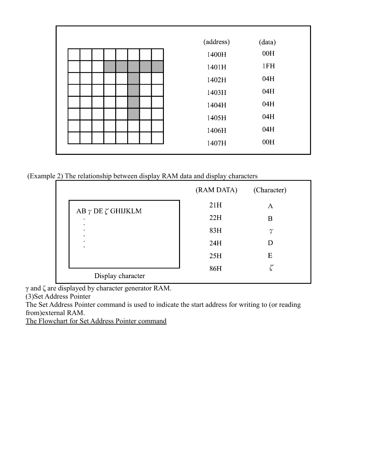| (address) | (data) |
|-----------|--------|
| 1400H     | 00H    |
| 1401H     | 1FH    |
| 1402H     | 04H    |
| 1403H     | 04H    |
| 1404H     | 04H    |
| 1405H     | 04H    |
| 1406H     | 04H    |
| 1407H     | 00H    |
|           |        |

(Example 2) The relationship between display RAM data and display characters

|                                | (RAM DATA) | (Character) |
|--------------------------------|------------|-------------|
| AB $\gamma$ DE $\zeta$ GHIJKLM | 21H        | А           |
| ٠                              | 22H        | Β           |
| ٠<br>٠<br>٠                    | 83H        | $\gamma$    |
| ٠<br>٠                         | 24H        | D           |
|                                | 25H        | Ε           |
| Display character              | 86H        |             |

γ and ζ are displayed by character generator RAM.

(3)Set Address Pointer

The Set Address Pointer command is used to indicate the start address for writing to (or reading from)external RAM.

The Flowchart for Set Address Pointer command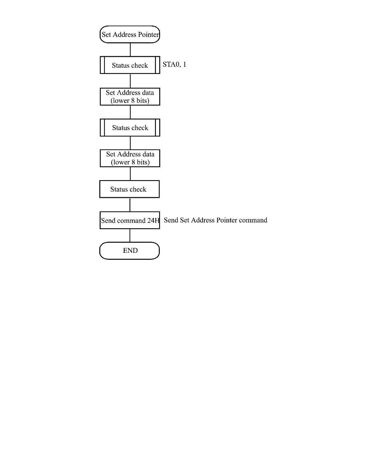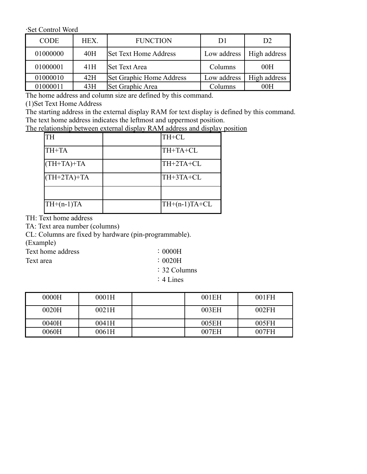‧Set Control Word

| <b>CODE</b> | HEX. | <b>FUNCTION</b>              | D1          | D <sub>2</sub> |
|-------------|------|------------------------------|-------------|----------------|
| 01000000    | 40H  | <b>Set Text Home Address</b> | Low address | High address   |
| 01000001    | 41H  | <b>Set Text Area</b>         | Columns     | 00H            |
| 01000010    | 42H  | Set Graphic Home Address     | Low address | High address   |
| 01000011    | 43H  | Set Graphic Area             | Columns     | 00H            |

The home address and column size are defined by this command.

(1)Set Text Home Address

The starting address in the external display RAM for text display is defined by this command. The text home address indicates the leftmost and uppermost position.

The relationship between external display RAM address and display position

| <b>TH</b>     | TH+CL           |
|---------------|-----------------|
| TH+TA         | TH+TA+CL        |
| $(TH+TA)+TA$  | TH+2TA+CL       |
| $(TH+2TA)+TA$ | TH+3TA+CL       |
|               |                 |
| $TH+(n-1)TA$  | $TH+(n-1)TA+CL$ |

TH: Text home address

TA: Text area number (columns)

CL: Columns are fixed by hardware (pin-programmable).

(Example)

Text home address :0000H

Text area  $: 0020H$ 

:32 Columns

:4 Lines

| 0000H | 0001H | 001EH | 001FH |
|-------|-------|-------|-------|
| 0020H | 0021H | 003EH | 002FH |
| 0040H | 0041H | 005EH | 005FH |
| 0060H | 0061H | 007EH | 007FH |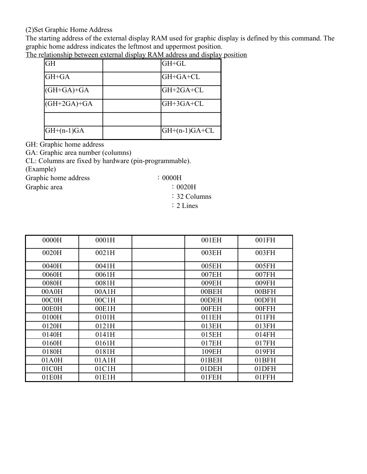#### (2)Set Graphic Home Address

The starting address of the external display RAM used for graphic display is defined by this command. The graphic home address indicates the leftmost and uppermost position.

| GH            | GH+GL            |
|---------------|------------------|
| GH+GA         | GH+GA+CL         |
| $(GH+GA)+GA$  | $GH + 2GA + CL$  |
| $(GH+2GA)+GA$ | GH+3GA+CL        |
|               |                  |
| $GH+(n-1)GA$  | $ GH+(n-1)GA+CL$ |

The relationship between external display RAM address and display position

GH: Graphic home address

GA: Graphic area number (columns)

CL: Columns are fixed by hardware (pin-programmable).

(Example)

Graphic home address :0000H

Graphic area :0020H

- :32 Columns
- :2 Lines

| 0000H | 0001H | 001EH | 001FH |
|-------|-------|-------|-------|
| 0020H | 0021H | 003EH | 003FH |
| 0040H | 0041H | 005EH | 005FH |
| 0060H | 0061H | 007EH | 007FH |
| 0080H | 0081H | 009EH | 009FH |
| 00A0H | 00A1H | 00BEH | 00BFH |
| 00C0H | 00C1H | 00DEH | 00DFH |
| 00E0H | 00E1H | 00FEH | 00FFH |
| 0100H | 0101H | 011EH | 011FH |
| 0120H | 0121H | 013EH | 013FH |
| 0140H | 0141H | 015EH | 014FH |
| 0160H | 0161H | 017EH | 017FH |
| 0180H | 0181H | 109EH | 019FH |
| 01A0H | 01A1H | 01BEH | 01BFH |
| 01C0H | 01C1H | 01DEH | 01DFH |
| 01EOH | 01E1H | 01FEH | 01FFH |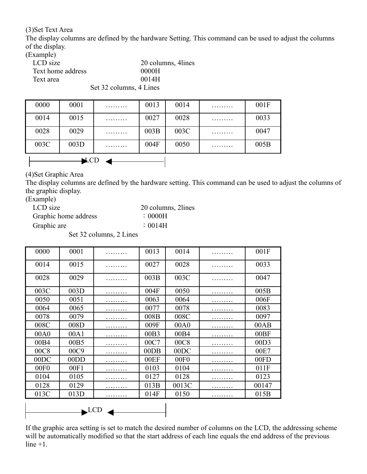(3)Set Text Area

The display columns are defined by the hardware Setting. This command can be used to adjust the columns of the display.

(Example)

| $\cdots$          |                         |
|-------------------|-------------------------|
| LCD size          | 20 columns, 4 lines     |
| Text home address | 0000H                   |
| Text area         | 0014H                   |
|                   | Set 32 columns, 4 Lines |

 $\triangle$ CD  $\triangle$ 0000 | 0001 | ……… | 0013 | 0014 | ……… | 001F 0014 0015 ……… 0027 0028 ……… 0033 0028 | 0029 | ……… | 003B | 003C | ……… | 0047 003C | 003D | ……… | 004F | 0050 | ……… | 005B

(4)Set Graphic Area

The display columns are defined by the hardware setting. This command can be used to adjust the columns of the graphic display.

(Example)

| LCD size             | 20 columns, 2lines |
|----------------------|--------------------|
| Graphic home address | $\therefore$ 0000H |
| Graphic are          | $\therefore$ 0014H |
|                      |                    |

Set 32 columns, 2 Lines

| 0000 | 0001                 | . | 0013 | 0014             | . | 001F             |
|------|----------------------|---|------|------------------|---|------------------|
| 0014 | 0015                 | . | 0027 | 0028             |   | 0033             |
| 0028 | 0029                 |   | 003B | 003C             |   | 0047             |
| 003C | 003D                 | . | 004F | 0050             | . | 005B             |
| 0050 | 0051                 |   | 0063 | 0064             |   | 006F             |
| 0064 | 0065                 |   | 0077 | 0078             |   | 0083             |
| 0078 | 0079                 |   | 008B | 008C             |   | 0097             |
| 008C | 008D                 | . | 009F | 00A0             | . | 00AB             |
| 00A0 | 00A1                 | . | 00B3 | 00B4             |   | 00BF             |
| 00B4 | 00B5                 | . | 00C7 | 00C8             |   | 00D3             |
| 00C8 | 00C9                 | . | 00DB | 00DC             |   | 00E7             |
| 00DC | 00DD                 |   | 00EF | 00F <sub>0</sub> |   | 00FD             |
| 00F0 | 00F1                 | . | 0103 | 0104             | . | 011F             |
| 0104 | 0105                 |   | 0127 | 0128             |   | 0123             |
| 0128 | 0129                 |   | 013B | 0013C            |   | 00147            |
| 013C | 013D                 | . | 014F | 0150             | . | 015 <sub>B</sub> |
|      |                      |   |      |                  |   |                  |
|      | $\blacktriangle$ LCD |   |      |                  |   |                  |

If the graphic area setting is set to match the desired number of columns on the LCD, the addressing scheme will be automatically modified so that the start address of each line equals the end address of the previous  $line +1$ .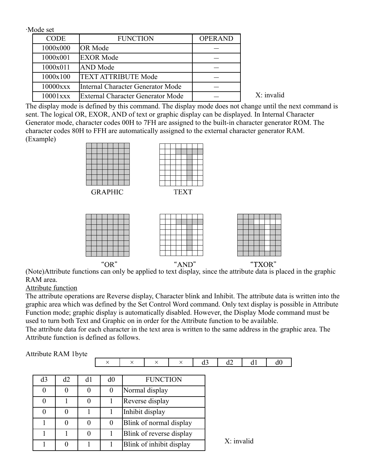‧Mode set CODE FUNCTION OPERAND  $1000x000$  OR Mode  $-$ 1000x001 EXOR Mode -  $1000x011$   $\Delta N$ D Mode  $\Delta 1000x011$   $\Delta N$ 1000x100 | TEXT ATTRIBUTE Mode 10000xxx Internal Character Generator Mode - 10001xxx External Character Generator Mode -

 $X^{\dagger}$  invalid

The display mode is defined by this command. The display mode does not change until the next command is sent. The logical OR, EXOR, AND of text or graphic display can be displayed. In Internal Character Generator mode, character codes 00H to 7FH are assigned to the built-in character generator ROM. The character codes 80H to FFH are automatically assigned to the external character generator RAM. (Example)



**GRAPHIC** 







(Note)Attribute functions can only be applied to text display, since the attribute data is placed in the graphic RAM area.

Attribute function

The attribute operations are Reverse display, Character blink and Inhibit. The attribute data is written into the graphic area which was defined by the Set Control Word command. Only text display is possible in Attribute Function mode; graphic display is automatically disabled. However, the Display Mode command must be used to turn both Text and Graphic on in order for the Attribute function to be available.

The attribute data for each character in the text area is written to the same address in the graphic area. The Attribute function is defined as follows.

Attribute RAM 1byte

|          |          |          | $\times$       | $\times$ | $\times$                 | $\times$                 | d3 | d2         | d1 | d0 |
|----------|----------|----------|----------------|----------|--------------------------|--------------------------|----|------------|----|----|
|          |          |          |                |          |                          |                          |    |            |    |    |
| d3       | d2       | d1       | d0             |          | <b>FUNCTION</b>          |                          |    |            |    |    |
| $\theta$ | $\theta$ | $\theta$ | $\overline{0}$ |          | Normal display           |                          |    |            |    |    |
| $\theta$ |          | $\Omega$ |                |          | Reverse display          |                          |    |            |    |    |
| $\theta$ | $\theta$ |          |                |          | Inhibit display          |                          |    |            |    |    |
|          | $\theta$ | $\theta$ | $\theta$       |          |                          | Blink of normal display  |    |            |    |    |
|          |          | $\theta$ |                |          |                          | Blink of reverse display |    |            |    |    |
|          | $\theta$ |          |                |          | Blink of inhibit display |                          |    | X: invalid |    |    |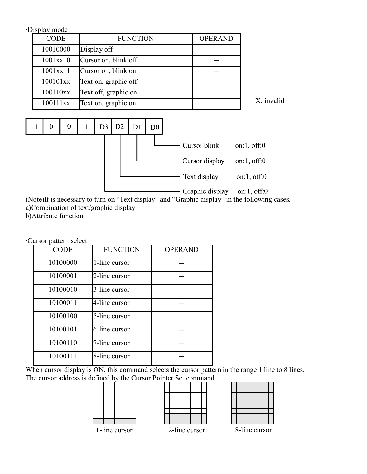‧Display mode

| <b>CODE</b> | <b>FUNCTION</b>      | <b>OPERAND</b> |
|-------------|----------------------|----------------|
| 10010000    | Display off          |                |
| 1001xx10    | Cursor on, blink off |                |
| 1001xx11    | Cursor on, blink on  |                |
| 100101xx    | Text on, graphic off |                |
| 100110xx    | Text off, graphic on |                |
| 100111xx    | Text on, graphic on  |                |

X: invalid



(Note)It is necessary to turn on "Text display" and "Graphic display" in the following cases. a)Combination of text/graphic display

b)Attribute function

‧Cursor pattern select

| <b>CODE</b> | <b>FUNCTION</b> | <b>OPERAND</b> |
|-------------|-----------------|----------------|
| 10100000    | 1-line cursor   |                |
| 10100001    | 2-line cursor   |                |
| 10100010    | 3-line cursor   |                |
| 10100011    | 4-line cursor   |                |
| 10100100    | 5-line cursor   |                |
| 10100101    | 6-line cursor   |                |
| 10100110    | 7-line cursor   |                |
| 10100111    | 8-line cursor   |                |

When cursor display is ON, this command selects the cursor pattern in the range 1 line to 8 lines. The cursor address is defined by the Cursor Pointer Set command.

|  |  | $\sim$ |  |  |
|--|--|--------|--|--|
|  |  |        |  |  |
|  |  |        |  |  |
|  |  |        |  |  |
|  |  |        |  |  |
|  |  |        |  |  |
|  |  |        |  |  |

| 2-line cursor |  |  |  |  |  |  |  |  |
|---------------|--|--|--|--|--|--|--|--|

| 1:<br>J |  |  |  |  |  |  |  |  |
|---------|--|--|--|--|--|--|--|--|

1-line cursor

8-line cursor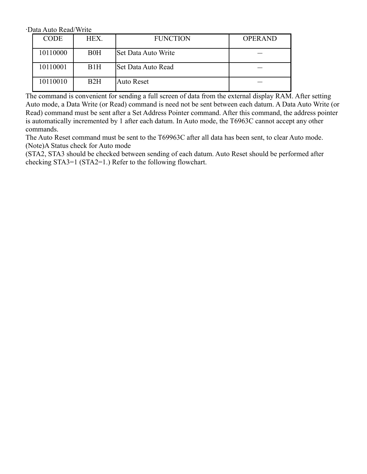‧Data Auto Read/Write

| <b>CODE</b> | HEX.             | <b>FUNCTION</b>     | <b>OPERAND</b> |
|-------------|------------------|---------------------|----------------|
| 10110000    | B0H              | Set Data Auto Write |                |
| 10110001    | B <sub>1</sub> H | Set Data Auto Read  |                |
| 10110010    | B2H              | <b>Auto Reset</b>   |                |

The command is convenient for sending a full screen of data from the external display RAM. After setting Auto mode, a Data Write (or Read) command is need not be sent between each datum. A Data Auto Write (or Read) command must be sent after a Set Address Pointer command. After this command, the address pointer is automatically incremented by 1 after each datum. In Auto mode, the T6963C cannot accept any other commands.

The Auto Reset command must be sent to the T69963C after all data has been sent, to clear Auto mode. (Note)A Status check for Auto mode

(STA2, STA3 should be checked between sending of each datum. Auto Reset should be performed after checking STA3=1 (STA2=1.) Refer to the following flowchart.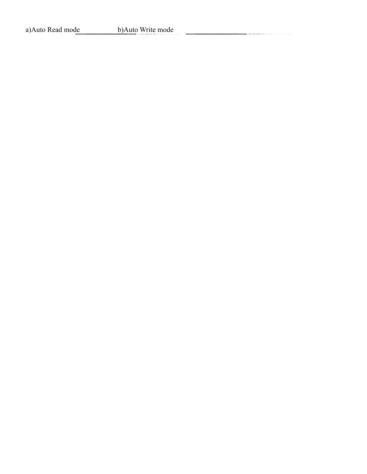a)Auto Read mode<br>b)Auto Write mode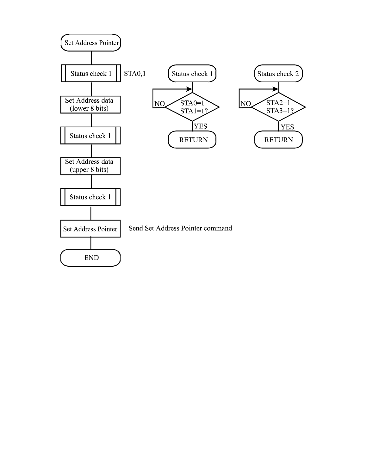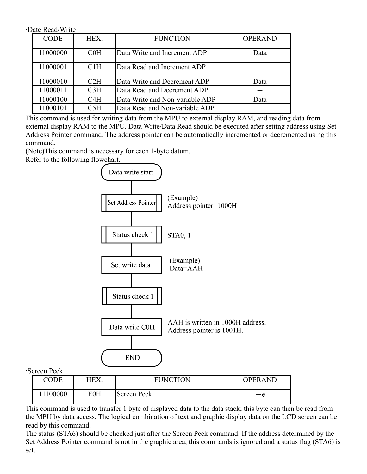‧Date Read/Write

| <b>CODE</b> | HEX.            | <b>FUNCTION</b>                 | <b>OPERAND</b> |
|-------------|-----------------|---------------------------------|----------------|
| 11000000    | COH             | Data Write and Increment ADP    | Data           |
| 11000001    | C1H             | Data Read and Increment ADP     |                |
| 11000010    | C2H             | Data Write and Decrement ADP    | Data           |
| 11000011    | C <sub>3H</sub> | Data Read and Decrement ADP     |                |
| 11000100    | C4H             | Data Write and Non-variable ADP | Data           |
| 11000101    | C5H             | Data Read and Non-variable ADP  |                |

This command is used for writing data from the MPU to external display RAM, and reading data from external display RAM to the MPU. Data Write/Data Read should be executed after setting address using Set Address Pointer command. The address pointer can be automatically incremented or decremented using this command.

(Note)This command is necessary for each 1-byte datum.

Refer to the following flowchart.



‧Screen Peek

| CODE     | HEX.       | <b>FUNCTION</b> | <b>OPERAND</b> |
|----------|------------|-----------------|----------------|
| 11100000 | <b>E0H</b> | Screen Peek     | $-\rho$        |

This command is used to transfer 1 byte of displayed data to the data stack; this byte can then be read from the MPU by data access. The logical combination of text and graphic display data on the LCD screen can be read by this command.

The status (STA6) should be checked just after the Screen Peek command. If the address determined by the Set Address Pointer command is not in the graphic area, this commands is ignored and a status flag (STA6) is set.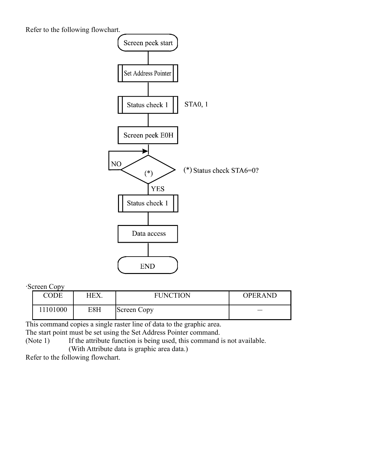Refer to the following flowchart.



‧Screen Copy

| . .<br>CODE | HEX. | <b>FUNCTION</b> | <b>OPERAND</b> |
|-------------|------|-----------------|----------------|
| 1101000     | E8H  | Screen Copy     |                |

This command copies a single raster line of data to the graphic area.

The start point must be set using the Set Address Pointer command.

(Note 1) If the attribute function is being used, this command is not available.

(With Attribute data is graphic area data.)

Refer to the following flowchart.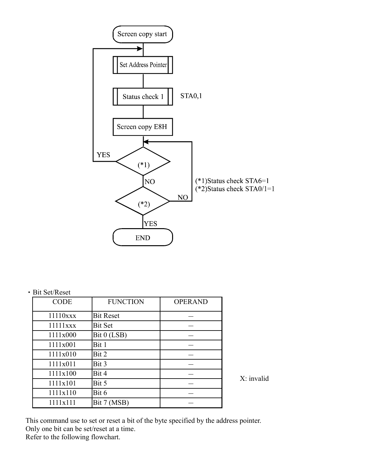

#### ‧Bit Set/Reset

| <b>CODE</b>          | <b>FUNCTION</b>  | <b>OPERAND</b> |
|----------------------|------------------|----------------|
| $11110$ $\text{xxx}$ | <b>Bit Reset</b> |                |
| $11111$ xxx          | <b>Bit Set</b>   |                |
| 1111x000             | Bit 0 (LSB)      |                |
| 1111x001             | Bit 1            |                |
| 1111x010             | Bit 2            |                |
| 1111x011             | Bit 3            |                |
| 1111x100             | Bit 4            |                |
| 1111x101             | Bit 5            |                |
| 1111x110             | Bit 6            |                |
| 1111x111             | Bit 7 (MSB)      |                |

X: invalid

This command use to set or reset a bit of the byte specified by the address pointer. Only one bit can be set/reset at a time. Refer to the following flowchart.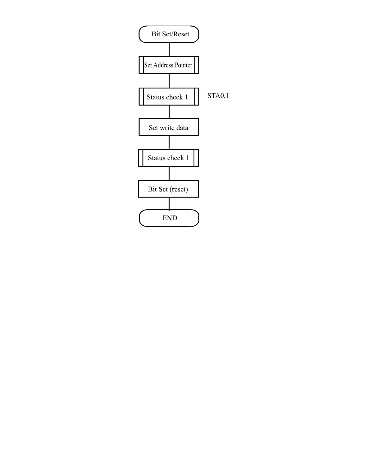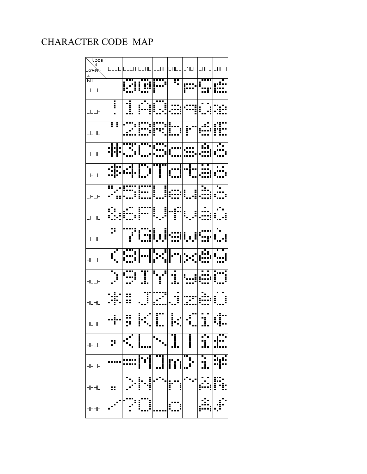#### CHARACTER CODE MAP

| Lower<br>Lower                                                                                                                                                                                                                                                                                                                                                                                              |   |                                                                                                                                                               |   |   |   |   |  |
|-------------------------------------------------------------------------------------------------------------------------------------------------------------------------------------------------------------------------------------------------------------------------------------------------------------------------------------------------------------------------------------------------------------|---|---------------------------------------------------------------------------------------------------------------------------------------------------------------|---|---|---|---|--|
|                                                                                                                                                                                                                                                                                                                                                                                                             |   | cccc cccm ccmc ccmm cmcc cmcm cmmc cmmm                                                                                                                       |   |   |   |   |  |
|                                                                                                                                                                                                                                                                                                                                                                                                             |   |                                                                                                                                                               |   |   |   |   |  |
| $\frac{4}{\text{bit}}$                                                                                                                                                                                                                                                                                                                                                                                      |   |                                                                                                                                                               |   |   |   |   |  |
|                                                                                                                                                                                                                                                                                                                                                                                                             |   |                                                                                                                                                               |   |   |   |   |  |
| $\begin{tabular}{ c c c } \hline \rule{0pt}{3ex} \rule{0pt}{3ex} \rule{0pt}{3ex} \rule{0pt}{3ex} \rule{0pt}{3ex} \rule{0pt}{3ex} \rule{0pt}{3ex} \rule{0pt}{3ex} \rule{0pt}{3ex} \rule{0pt}{3ex} \rule{0pt}{3ex} \rule{0pt}{3ex} \rule{0pt}{3ex} \rule{0pt}{3ex} \rule{0pt}{3ex} \rule{0pt}{3ex} \rule{0pt}{3ex} \rule{0pt}{3ex} \rule{0pt}{3ex} \rule{0pt}{3ex} \rule{0pt}{3ex} \rule{0pt}{3ex} \rule{0pt$ |   |                                                                                                                                                               |   |   |   |   |  |
|                                                                                                                                                                                                                                                                                                                                                                                                             |   |                                                                                                                                                               |   |   |   |   |  |
|                                                                                                                                                                                                                                                                                                                                                                                                             |   |                                                                                                                                                               |   |   |   |   |  |
|                                                                                                                                                                                                                                                                                                                                                                                                             |   |                                                                                                                                                               |   |   |   |   |  |
| LLLH                                                                                                                                                                                                                                                                                                                                                                                                        |   |                                                                                                                                                               |   |   |   |   |  |
|                                                                                                                                                                                                                                                                                                                                                                                                             |   |                                                                                                                                                               |   |   |   |   |  |
|                                                                                                                                                                                                                                                                                                                                                                                                             |   |                                                                                                                                                               |   |   |   |   |  |
| LLHL                                                                                                                                                                                                                                                                                                                                                                                                        |   |                                                                                                                                                               |   |   |   |   |  |
|                                                                                                                                                                                                                                                                                                                                                                                                             |   |                                                                                                                                                               |   |   |   |   |  |
|                                                                                                                                                                                                                                                                                                                                                                                                             |   |                                                                                                                                                               |   |   |   |   |  |
|                                                                                                                                                                                                                                                                                                                                                                                                             |   |                                                                                                                                                               |   |   |   |   |  |
| LLHH                                                                                                                                                                                                                                                                                                                                                                                                        |   |                                                                                                                                                               |   |   |   |   |  |
|                                                                                                                                                                                                                                                                                                                                                                                                             |   |                                                                                                                                                               |   |   |   |   |  |
|                                                                                                                                                                                                                                                                                                                                                                                                             |   | ╎ <sub>╾</sub> ╸┋╌┑╎╶╺┋╵┇╹╹╸╻╵╹┋╹╹╎╺╻╻┋╎╸┋╌╷╵╶╻╏╷<br>┌╍┋╌╿╹╌┇╿┋╻╸┦╿╶┋╷╿╶┋╷┞╾╻┪╿╶╶╷┙┆╌┇                                                                        |   |   |   |   |  |
| LHLL                                                                                                                                                                                                                                                                                                                                                                                                        |   |                                                                                                                                                               |   |   |   |   |  |
|                                                                                                                                                                                                                                                                                                                                                                                                             |   |                                                                                                                                                               |   |   |   |   |  |
|                                                                                                                                                                                                                                                                                                                                                                                                             |   |                                                                                                                                                               |   |   |   |   |  |
|                                                                                                                                                                                                                                                                                                                                                                                                             |   |                                                                                                                                                               |   |   |   |   |  |
| LHLH                                                                                                                                                                                                                                                                                                                                                                                                        |   |                                                                                                                                                               |   |   |   |   |  |
|                                                                                                                                                                                                                                                                                                                                                                                                             |   |                                                                                                                                                               |   |   |   |   |  |
|                                                                                                                                                                                                                                                                                                                                                                                                             |   |                                                                                                                                                               |   |   |   |   |  |
|                                                                                                                                                                                                                                                                                                                                                                                                             |   |                                                                                                                                                               |   |   |   |   |  |
| LHHL                                                                                                                                                                                                                                                                                                                                                                                                        |   |                                                                                                                                                               |   |   |   |   |  |
|                                                                                                                                                                                                                                                                                                                                                                                                             |   |                                                                                                                                                               |   |   |   |   |  |
|                                                                                                                                                                                                                                                                                                                                                                                                             |   |                                                                                                                                                               |   |   |   |   |  |
| LHHH                                                                                                                                                                                                                                                                                                                                                                                                        |   |                                                                                                                                                               |   |   |   |   |  |
|                                                                                                                                                                                                                                                                                                                                                                                                             |   |                                                                                                                                                               |   |   |   |   |  |
|                                                                                                                                                                                                                                                                                                                                                                                                             |   |                                                                                                                                                               |   |   |   |   |  |
|                                                                                                                                                                                                                                                                                                                                                                                                             |   |                                                                                                                                                               |   |   |   |   |  |
| <b>HLLL</b>                                                                                                                                                                                                                                                                                                                                                                                                 |   |                                                                                                                                                               |   |   |   |   |  |
|                                                                                                                                                                                                                                                                                                                                                                                                             |   |                                                                                                                                                               |   |   |   |   |  |
|                                                                                                                                                                                                                                                                                                                                                                                                             |   | *-_  x:**_  *:*  * <sub>*-</sub> -*  -:_   <sub>*---</sub> _  ---   <del>*</del> ----:<br>  _-*   __-*  __:_   _;_   _;_   __:_   <u>----</u> =  =:_:-  =____ |   |   |   |   |  |
| HLLH                                                                                                                                                                                                                                                                                                                                                                                                        |   |                                                                                                                                                               |   |   |   |   |  |
|                                                                                                                                                                                                                                                                                                                                                                                                             |   |                                                                                                                                                               |   |   |   |   |  |
|                                                                                                                                                                                                                                                                                                                                                                                                             |   |                                                                                                                                                               |   |   |   |   |  |
|                                                                                                                                                                                                                                                                                                                                                                                                             |   |                                                                                                                                                               |   |   |   |   |  |
| <b>HLHL</b>                                                                                                                                                                                                                                                                                                                                                                                                 |   |                                                                                                                                                               |   |   |   |   |  |
|                                                                                                                                                                                                                                                                                                                                                                                                             |   |                                                                                                                                                               |   |   |   |   |  |
|                                                                                                                                                                                                                                                                                                                                                                                                             |   |                                                                                                                                                               |   |   |   |   |  |
|                                                                                                                                                                                                                                                                                                                                                                                                             |   |                                                                                                                                                               |   |   |   |   |  |
|                                                                                                                                                                                                                                                                                                                                                                                                             |   |                                                                                                                                                               |   |   |   |   |  |
|                                                                                                                                                                                                                                                                                                                                                                                                             |   |                                                                                                                                                               |   |   |   |   |  |
|                                                                                                                                                                                                                                                                                                                                                                                                             |   |                                                                                                                                                               |   |   |   |   |  |
| <b>HHLL</b>                                                                                                                                                                                                                                                                                                                                                                                                 |   |                                                                                                                                                               | į |   |   | İ |  |
|                                                                                                                                                                                                                                                                                                                                                                                                             |   |                                                                                                                                                               |   |   |   |   |  |
|                                                                                                                                                                                                                                                                                                                                                                                                             |   |                                                                                                                                                               |   |   |   |   |  |
|                                                                                                                                                                                                                                                                                                                                                                                                             |   |                                                                                                                                                               | İ | i |   |   |  |
| <b>HHLH</b>                                                                                                                                                                                                                                                                                                                                                                                                 |   |                                                                                                                                                               |   |   | į |   |  |
|                                                                                                                                                                                                                                                                                                                                                                                                             |   |                                                                                                                                                               |   |   |   |   |  |
|                                                                                                                                                                                                                                                                                                                                                                                                             |   |                                                                                                                                                               |   |   |   |   |  |
| <b>HHHL</b>                                                                                                                                                                                                                                                                                                                                                                                                 |   |                                                                                                                                                               |   |   | Ī |   |  |
|                                                                                                                                                                                                                                                                                                                                                                                                             | ₩ |                                                                                                                                                               |   |   |   |   |  |
|                                                                                                                                                                                                                                                                                                                                                                                                             |   |                                                                                                                                                               |   |   |   |   |  |
|                                                                                                                                                                                                                                                                                                                                                                                                             |   |                                                                                                                                                               | į |   |   |   |  |
| <b>HHHH</b>                                                                                                                                                                                                                                                                                                                                                                                                 |   |                                                                                                                                                               |   |   |   |   |  |
|                                                                                                                                                                                                                                                                                                                                                                                                             |   |                                                                                                                                                               |   |   |   |   |  |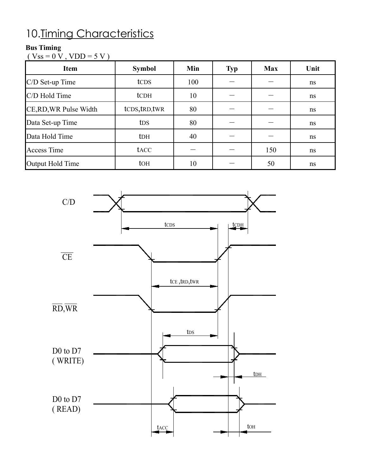## 10. Timing Characteristics

#### **Bus Timing**

 $(Vss = 0 V, VDD = 5 V)$ 

| <b>Item</b>            | <b>Symbol</b>    | Min | <b>Typ</b> | <b>Max</b> | Unit |
|------------------------|------------------|-----|------------|------------|------|
| $C/D$ Set-up Time      | tc <sub>DS</sub> | 100 |            |            | ns   |
| C/D Hold Time          | tc <sub>DH</sub> | 10  |            |            | ns   |
| CE, RD, WR Pulse Width | tCDS, tRD, tWR   | 80  |            |            | ns   |
| Data Set-up Time       | t <sub>DS</sub>  | 80  |            |            | ns   |
| Data Hold Time         | t <sub>DH</sub>  | 40  |            |            | ns   |
| <b>Access Time</b>     | tacc             |     |            | 150        | ns   |
| Output Hold Time       | to <sub>H</sub>  | 10  |            | 50         | ns   |

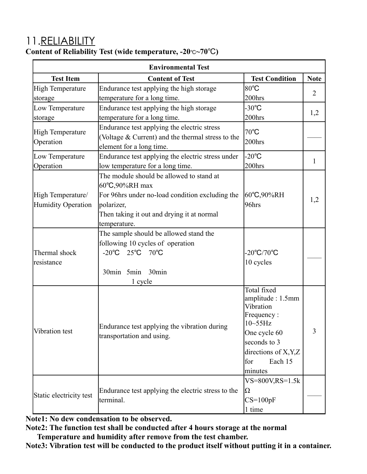### 11.RELIABILITY

| <b>Environmental Test</b>     |                                                    |                            |                |  |  |  |  |
|-------------------------------|----------------------------------------------------|----------------------------|----------------|--|--|--|--|
| <b>Test Item</b>              | <b>Content of Test</b>                             | <b>Test Condition</b>      | <b>Note</b>    |  |  |  |  |
| High Temperature              | Endurance test applying the high storage           | $80^{\circ}$ C             | $\overline{2}$ |  |  |  |  |
| storage                       | temperature for a long time.                       | 200hrs                     |                |  |  |  |  |
| Low Temperature               | Endurance test applying the high storage           | $-30^{\circ}$ C            |                |  |  |  |  |
| storage                       | temperature for a long time.                       | 200hrs                     | 1,2            |  |  |  |  |
|                               | Endurance test applying the electric stress        | $70^{\circ}$ C             |                |  |  |  |  |
| High Temperature<br>Operation | (Voltage & Current) and the thermal stress to the  | 200hrs                     |                |  |  |  |  |
|                               | element for a long time.                           |                            |                |  |  |  |  |
| Low Temperature               | Endurance test applying the electric stress under  | $-20^{\circ}$ C            | $\mathbf{1}$   |  |  |  |  |
| Operation                     | low temperature for a long time.                   | 200hrs                     |                |  |  |  |  |
|                               | The module should be allowed to stand at           |                            |                |  |  |  |  |
|                               | 60°C,90%RH max                                     |                            |                |  |  |  |  |
| High Temperature/             | For 96hrs under no-load condition excluding the    | $ 60^{\circ}C,90\%RH$      | 1,2            |  |  |  |  |
| Humidity Operation            | polarizer,                                         | $96$ hrs                   |                |  |  |  |  |
|                               | Then taking it out and drying it at normal         |                            |                |  |  |  |  |
|                               | temperature.                                       |                            |                |  |  |  |  |
|                               | The sample should be allowed stand the             |                            |                |  |  |  |  |
|                               | following 10 cycles of operation                   |                            |                |  |  |  |  |
| Thermal shock                 | -20 $^{\circ}$ C 25 $^{\circ}$ C 70 $^{\circ}$ C   | $-20^{\circ}C/70^{\circ}C$ |                |  |  |  |  |
| resistance                    |                                                    | 10 cycles                  |                |  |  |  |  |
|                               | 30 <sub>min</sub><br>30min 5min                    |                            |                |  |  |  |  |
|                               | 1 cycle                                            |                            |                |  |  |  |  |
|                               |                                                    | Total fixed                |                |  |  |  |  |
|                               |                                                    | amplitude: 1.5mm           |                |  |  |  |  |
|                               |                                                    | Vibration                  |                |  |  |  |  |
|                               |                                                    | Frequency:<br>$10-55$ Hz   |                |  |  |  |  |
| Vibration test                | Endurance test applying the vibration during       | One cycle 60               | 3              |  |  |  |  |
|                               | transportation and using.                          | seconds to 3               |                |  |  |  |  |
|                               |                                                    | directions of X, Y, Z      |                |  |  |  |  |
|                               |                                                    | Each 15<br>for             |                |  |  |  |  |
|                               |                                                    | minutes                    |                |  |  |  |  |
|                               |                                                    | $VS = 800V, RS = 1.5k$     |                |  |  |  |  |
|                               | Endurance test applying the electric stress to the | $\Omega$                   |                |  |  |  |  |
| Static electricity test       | terminal.                                          | $CS=100pF$                 |                |  |  |  |  |
|                               |                                                    | 1 time                     |                |  |  |  |  |

**Content of Reliability Test (wide temperature, -20**℃**~70**℃**)**

**Note1: No dew condensation to be observed.**

**Note2: The function test shall be conducted after 4 hours storage at the normal Temperature and humidity after remove from the test chamber.**

**Note3: Vibration test will be conducted to the product itself without putting it in a container.**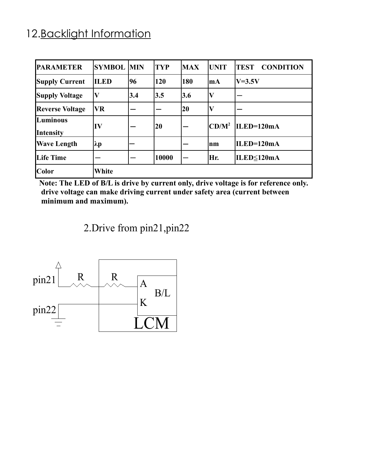#### 12. Backlight Information

| <b>PARAMETER</b>             | <b>SYMBOL MIN</b>       |     | <b>TYP</b> | <b>MAX</b> | <b>UNIT</b> | <b>CONDITION</b><br><b>TEST</b> |
|------------------------------|-------------------------|-----|------------|------------|-------------|---------------------------------|
| <b>Supply Current</b>        | <b>ILED</b>             | 96  | 120        | 180        | lm A        | $V=3.5V$                        |
| <b>Supply Voltage</b>        | $\overline{\mathbf{V}}$ | 3.4 | 3.5        | 3.6        | IV          |                                 |
| <b>Reverse Voltage</b>       | VR                      |     |            | 20         | $\mathbf V$ |                                 |
| Luminous<br><b>Intensity</b> | $\bf{IV}$               |     | 20         |            | $CD/M^2$    | $\vert$ ILED=120mA              |
| <b>Wave Length</b>           | $ \lambda p $           |     |            |            | Inm         | $ILED=120mA$                    |
| Life Time                    |                         |     | 10000      |            | Hr.         | ILED≤120mA                      |
| <b>Color</b>                 | White                   |     |            |            |             |                                 |

**Note: The LED of B/L is drive by current only, drive voltage is for reference only. drive voltage can make driving current under safety area (current between minimum and maximum).**

2.Drive from pin21,pin22